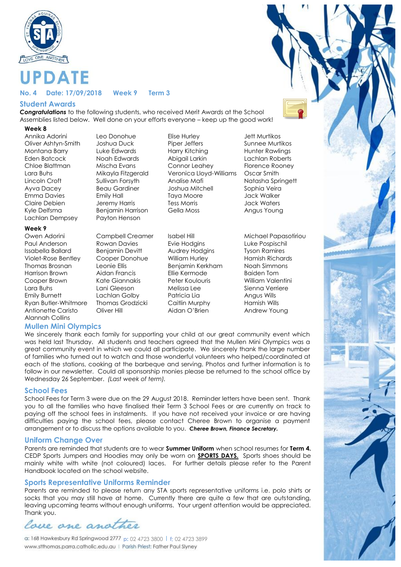

# **PDATE**

#### **No. 4 Date: 17/09/2018 Week 9 Term 3**

# **Student Awards**

*Congratulations* to the following students, who received Merit Awards at the School Assemblies listed below. Well done on your efforts everyone – keep up the good work!

#### **Week 8**

Annika Adorini Leo Donohue Elise Hurley Jett Murtikos Emma Davies Emily Hall Taya Moore Lachlan Dempsey Payton Henson

#### **Week 9**

Owen Adorini Campbell Creamer Isabel Hill Michael Papasotiriou Paul Anderson Rowan Davies Evie Hodgins Luke Pospischil Issabella Ballard Benjamin Devitt Audrey Hodgins Tyson Ramires Violet-Rose Bentley Cooper Donohue William Hurley Hamish Richards Thomas Brosnan Leonie Ellis Benjamin Kerkham Noah Simmons Harrison Brown Aidan Francis Ellie Kermode Baiden Tom Cooper Brown Kate Giannakis Peter Koulouris William Valentini Lara Buhs Lani Gleeson Melissa Lee Sienna Verriere Emily Burnett Lachlan Golby Patricia Lia Angus Wills Ryan Butler-Whitmore Thomas Grodzicki Caitlin Murphy Hamish Wills Antionette Caristo Cliver Hill Aidan O'Brien Andrew Young Alannah Collins

#### **Mullen Mini Olympics**

Oliver Ashtyn-Smith Joshua Duck Piper Jeffers Sunnee Murtikos Montana Barry **Luke Edwards Harry Kitching Hunter Rawlings** Hunter Rawlings Eden Batcock Noah Edwards Abigail Larkin Lachlan Roberts Chloe Blattman Mischa Evans Connor Leahey Florence Rooney Lara Buhs Mikayla Fitzgerald Veronica Lloyd-Williams Oscar Smith Lincoln Croft Sullivan Forsyth Analise Mafi Natasha Springett Ayva Dacey Beau Gardiner Joshua Mitchell Sophia Veira Claire Debien Jeremy Harris Tess Morris Jack Waters Kyle Delfsma Benjamin Harrison Gella Moss Angus Young

We sincerely thank each family for supporting your child at our great community event which was held last Thursday. All students and teachers agreed that the Mullen Mini Olympics was a great community event in which we could all participate. We sincerely thank the large number of families who turned out to watch and those wonderful volunteers who helped/coordinated at each of the stations, cooking at the barbeque and serving. Photos and further information is to follow in our newsletter. Could all sponsorship monies please be returned to the school office by Wednesday 26 September. *(Last week of term).*

#### **School Fees**

School Fees for Term 3 were due on the 29 August 2018. Reminder letters have been sent. Thank you to all the families who have finalised their Term 3 School Fees or are currently on track to paying off the school fees in instalments. If you have not received your invoice or are having difficulties paying the school fees, please contact Cheree Brown to organise a payment arrangement or to discuss the options available to you. *Cheree Brown, Finance Secretary.*

#### **Uniform Change Over**

Parents are reminded that students are to wear **Summer Uniform** when school resumes for **Term 4.** CEDP Sports Jumpers and Hoodies may only be worn on **SPORTS DAYS.** Sports shoes should be mainly white with white (not coloured) laces. For further details please refer to the Parent Handbook located on the school website.

#### **Sports Representative Uniforms Reminder**

Parents are reminded to please return any STA sports representative uniforms i.e. polo shirts or socks that you may still have at home. Currently there are quite a few that are outstanding, leaving upcoming teams without enough uniforms. Your urgent attention would be appreciated. Thank you.

lace ane and

**p:** 02 4723 3800 l **f;** 02 4723 3899www.stthomas.parra.catholic.edu.au | Parish Priest: Father Paul Slyney